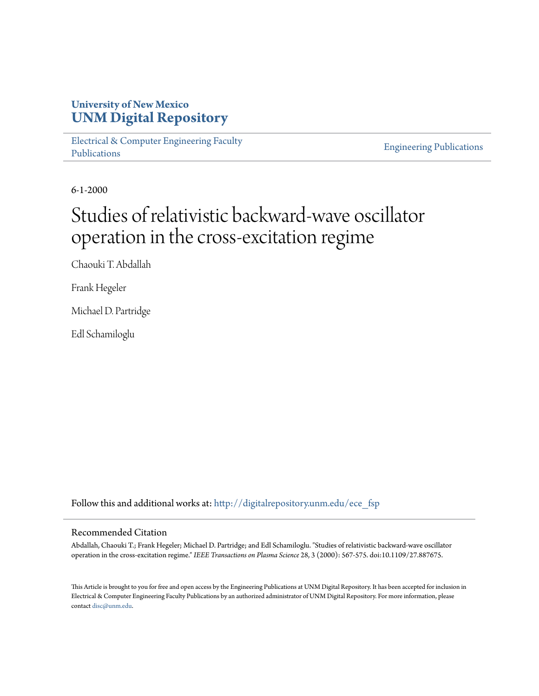# **University of New Mexico [UNM Digital Repository](http://digitalrepository.unm.edu?utm_source=digitalrepository.unm.edu%2Fece_fsp%2F178&utm_medium=PDF&utm_campaign=PDFCoverPages)**

[Electrical & Computer Engineering Faculty](http://digitalrepository.unm.edu/ece_fsp?utm_source=digitalrepository.unm.edu%2Fece_fsp%2F178&utm_medium=PDF&utm_campaign=PDFCoverPages) [Publications](http://digitalrepository.unm.edu/ece_fsp?utm_source=digitalrepository.unm.edu%2Fece_fsp%2F178&utm_medium=PDF&utm_campaign=PDFCoverPages)

[Engineering Publications](http://digitalrepository.unm.edu/eng_fsp?utm_source=digitalrepository.unm.edu%2Fece_fsp%2F178&utm_medium=PDF&utm_campaign=PDFCoverPages)

6-1-2000

# Studies of relativistic backward-wave oscillator operation in the cross-excitation regime

Chaouki T. Abdallah

Frank Hegeler

Michael D. Partridge

Edl Schamiloglu

Follow this and additional works at: [http://digitalrepository.unm.edu/ece\\_fsp](http://digitalrepository.unm.edu/ece_fsp?utm_source=digitalrepository.unm.edu%2Fece_fsp%2F178&utm_medium=PDF&utm_campaign=PDFCoverPages)

# Recommended Citation

Abdallah, Chaouki T.; Frank Hegeler; Michael D. Partridge; and Edl Schamiloglu. "Studies of relativistic backward-wave oscillator operation in the cross-excitation regime." *IEEE Transactions on Plasma Science* 28, 3 (2000): 567-575. doi:10.1109/27.887675.

This Article is brought to you for free and open access by the Engineering Publications at UNM Digital Repository. It has been accepted for inclusion in Electrical & Computer Engineering Faculty Publications by an authorized administrator of UNM Digital Repository. For more information, please contact [disc@unm.edu.](mailto:disc@unm.edu)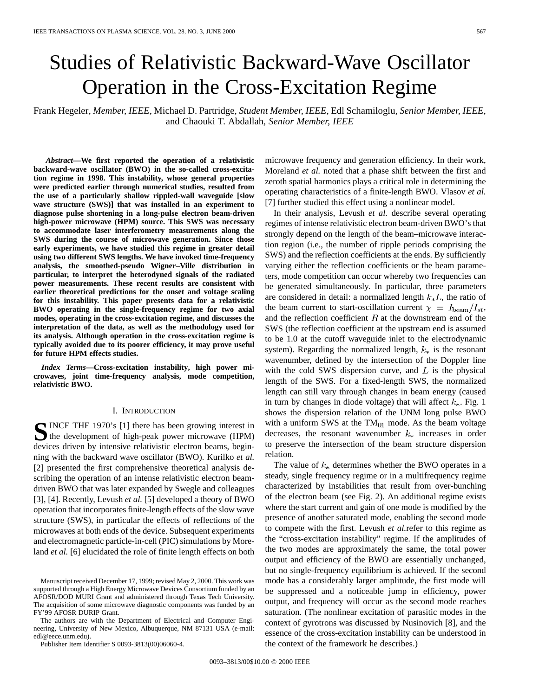# Studies of Relativistic Backward-Wave Oscillator Operation in the Cross-Excitation Regime

Frank Hegeler*, Member, IEEE*, Michael D. Partridge*, Student Member, IEEE*, Edl Schamiloglu*, Senior Member, IEEE*, and Chaouki T. Abdallah*, Senior Member, IEEE*

*Abstract—***We first reported the operation of a relativistic backward-wave oscillator (BWO) in the so-called cross-excitation regime in 1998. This instability, whose general properties were predicted earlier through numerical studies, resulted from the use of a particularly shallow rippled-wall waveguide [slow wave structure (SWS)] that was installed in an experiment to diagnose pulse shortening in a long-pulse electron beam-driven high-power microwave (HPM) source. This SWS was necessary to accommodate laser interferometry measurements along the SWS during the course of microwave generation. Since those early experiments, we have studied this regime in greater detail using two different SWS lengths. We have invoked time-frequency analysis, the smoothed-pseudo Wigner–Ville distribution in particular, to interpret the heterodyned signals of the radiated power measurements. These recent results are consistent with earlier theoretical predictions for the onset and voltage scaling for this instability. This paper presents data for a relativistic BWO operating in the single-frequency regime for two axial modes, operating in the cross-excitation regime, and discusses the interpretation of the data, as well as the methodology used for its analysis. Although operation in the cross-excitation regime is typically avoided due to its poorer efficiency, it may prove useful for future HPM effects studies.**

*Index Terms—***Cross-excitation instability, high power microwaves, joint time-frequency analysis, mode competition, relativistic BWO.**

### I. INTRODUCTION

**S**INCE THE 1970's [1] there has been growing interest in the development of high-peak power microwave (HPM) devices driven by intensive relativistic electron beams, beginning with the backward wave oscillator (BWO). Kurilko *et al.* [2] presented the first comprehensive theoretical analysis describing the operation of an intense relativistic electron beamdriven BWO that was later expanded by Swegle and colleagues [3], [4]. Recently, Levush *et al.* [5] developed a theory of BWO operation that incorporates finite-length effects of the slow wave structure (SWS), in particular the effects of reflections of the microwaves at both ends of the device. Subsequent experiments and electromagnetic particle-in-cell (PIC) simulations by Moreland *et al.* [6] elucidated the role of finite length effects on both

The authors are with the Department of Electrical and Computer Engineering, University of New Mexico, Albuquerque, NM 87131 USA (e-mail: edl@eece.unm.edu).

Publisher Item Identifier S 0093-3813(00)06060-4.

microwave frequency and generation efficiency. In their work, Moreland *et al.* noted that a phase shift between the first and zeroth spatial harmonics plays a critical role in determining the operating characteristics of a finite-length BWO. Vlasov *et al.* [7] further studied this effect using a nonlinear model.

In their analysis, Levush *et al.* describe several operating regimes of intense relativistic electron beam-driven BWO's that strongly depend on the length of the beam–microwave interaction region (i.e., the number of ripple periods comprising the SWS) and the reflection coefficients at the ends. By sufficiently varying either the reflection coefficients or the beam parameters, mode competition can occur whereby two frequencies can be generated simultaneously. In particular, three parameters are considered in detail: a normalized length  $k_*L$ , the ratio of the beam current to start-oscillation current  $\chi = I_{\text{beam}}/I_{st}$ , and the reflection coefficient  $R$  at the downstream end of the SWS (the reflection coefficient at the upstream end is assumed to be 1.0 at the cutoff waveguide inlet to the electrodynamic system). Regarding the normalized length,  $k_{\ast}$  is the resonant wavenumber, defined by the intersection of the Doppler line with the cold SWS dispersion curve, and  $L$  is the physical length of the SWS. For a fixed-length SWS, the normalized length can still vary through changes in beam energy (caused in turn by changes in diode voltage) that will affect  $k_{*}$ . Fig. 1 shows the dispersion relation of the UNM long pulse BWO with a uniform SWS at the  $TM_{01}$  mode. As the beam voltage decreases, the resonant wavenumber  $k_{\ast}$  increases in order to preserve the intersection of the beam structure dispersion relation.

The value of  $k_{\ast}$  determines whether the BWO operates in a steady, single frequency regime or in a multifrequency regime characterized by instabilities that result from over-bunching of the electron beam (see Fig. 2). An additional regime exists where the start current and gain of one mode is modified by the presence of another saturated mode, enabling the second mode to compete with the first. Levush *et al.*refer to this regime as the "cross-excitation instability" regime. If the amplitudes of the two modes are approximately the same, the total power output and efficiency of the BWO are essentially unchanged, but no single-frequency equilibrium is achieved. If the second mode has a considerably larger amplitude, the first mode will be suppressed and a noticeable jump in efficiency, power output, and frequency will occur as the second mode reaches saturation. (The nonlinear excitation of parasitic modes in the context of gyrotrons was discussed by Nusinovich [8], and the essence of the cross-excitation instability can be understood in the context of the framework he describes.)

Manuscript received December 17, 1999; revised May 2, 2000. This work was supported through a High Energy Microwave Devices Consortium funded by an AFOSR/DOD MURI Grant and administered through Texas Tech University. The acquisition of some microwave diagnostic components was funded by an FY'99 AFOSR DURIP Grant.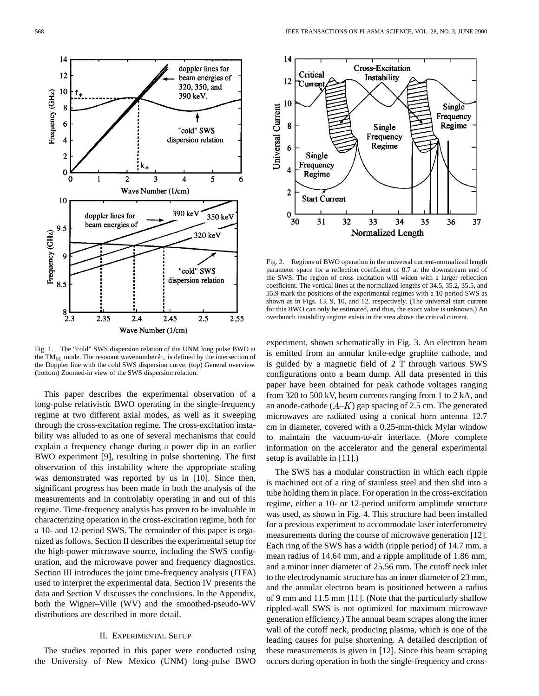

Fig. 1. The "cold" SWS dispersion relation of the UNM long pulse BWO at the TM $_{01}$  mode. The resonant wavenumber  $k_{*}$  is defined by the intersection of the Doppler line with the cold SWS dispersion curve. (top) General overview. (bottom) Zoomed-in view of the SWS dispersion relation.

This paper describes the experimental observation of a long-pulse relativistic BWO operating in the single-frequency regime at two different axial modes, as well as it sweeping through the cross-excitation regime. The cross-excitation instability was alluded to as one of several mechanisms that could explain a frequency change during a power dip in an earlier BWO experiment [9], resulting in pulse shortening. The first observation of this instability where the appropriate scaling was demonstrated was reported by us in [10]. Since then, significant progress has been made in both the analysis of the measurements and in controlably operating in and out of this regime. Time-frequency analysis has proven to be invaluable in characterizing operation in the cross-excitation regime, both for a 10- and 12-period SWS. The remainder of this paper is organized as follows. Section II describes the experimental setup for the high-power microwave source, including the SWS configuration, and the microwave power and frequency diagnostics. Section III introduces the joint time-frequency analysis (JTFA) used to interpret the experimental data. Section IV presents the data and Section V discusses the conclusions. In the Appendix, both the Wigner–Ville (WV) and the smoothed-pseudo-WV distributions are described in more detail.

#### II. EXPERIMENTAL SETUP

The studies reported in this paper were conducted using the University of New Mexico (UNM) long-pulse BWO



Fig. 2. Regions of BWO operation in the universal current-normalized length parameter space for a reflection coefficient of 0.7 at the downstream end of the SWS. The region of cross excitation will widen with a larger reflection coefficient. The vertical lines at the normalized lengths of 34.5, 35.2, 35.5, and 35.9 mark the positions of the experimental regimes with a 10-period SWS as shown as in Figs. 13, 9, 10, and 12, respectively. (The universal start current for this BWO can only be estimated, and thus, the exact value is unknown.) An overbunch instability regime exists in the area above the critical current.

experiment, shown schematically in Fig. 3. An electron beam is emitted from an annular knife-edge graphite cathode, and is guided by a magnetic field of 2 T through various SWS configurations onto a beam dump. All data presented in this paper have been obtained for peak cathode voltages ranging from 320 to 500 kV, beam currents ranging from 1 to 2 kA, and an anode-cathode  $(A-K)$  gap spacing of 2.5 cm. The generated microwaves are radiated using a conical horn antenna 12.7 cm in diameter, covered with a 0.25-mm-thick Mylar window to maintain the vacuum-to-air interface. (More complete information on the accelerator and the general experimental setup is available in [11].)

The SWS has a modular construction in which each ripple is machined out of a ring of stainless steel and then slid into a tube holding them in place. For operation in the cross-excitation regime, either a 10- or 12-period uniform amplitude structure was used, as shown in Fig. 4. This structure had been installed for a previous experiment to accommodate laser interferometry measurements during the course of microwave generation [12]. Each ring of the SWS has a width (ripple period) of 14.7 mm, a mean radius of 14.64 mm, and a ripple amplitude of 1.86 mm, and a minor inner diameter of 25.56 mm. The cutoff neck inlet to the electrodynamic structure has an inner diameter of 23 mm, and the annular electron beam is positioned between a radius of 9 mm and 11.5 mm [11]. (Note that the particularly shallow rippled-wall SWS is not optimized for maximum microwave generation efficiency.) The annual beam scrapes along the inner wall of the cutoff neck, producing plasma, which is one of the leading causes for pulse shortening. A detailed description of these measurements is given in [12]. Since this beam scraping occurs during operation in both the single-frequency and cross-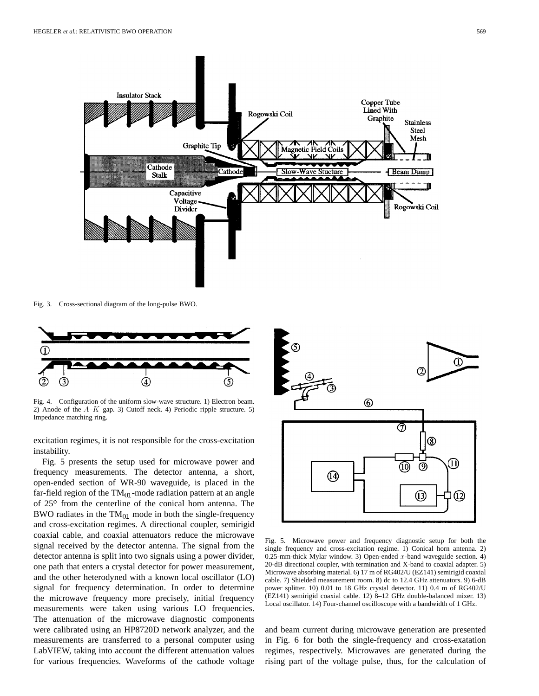

Fig. 3. Cross-sectional diagram of the long-pulse BWO.



Fig. 4. Configuration of the uniform slow-wave structure. 1) Electron beam. 2) Anode of the  $A-K$  gap. 3) Cutoff neck. 4) Periodic ripple structure. 5) Impedance matching ring.

excitation regimes, it is not responsible for the cross-excitation instability.

Fig. 5 presents the setup used for microwave power and frequency measurements. The detector antenna, a short, open-ended section of WR-90 waveguide, is placed in the far-field region of the  $TM<sub>01</sub>$ -mode radiation pattern at an angle of 25° from the centerline of the conical horn antenna. The BWO radiates in the  $TM_{01}$  mode in both the single-frequency and cross-excitation regimes. A directional coupler, semirigid coaxial cable, and coaxial attenuators reduce the microwave signal received by the detector antenna. The signal from the detector antenna is split into two signals using a power divider, one path that enters a crystal detector for power measurement, and the other heterodyned with a known local oscillator (LO) signal for frequency determination. In order to determine the microwave frequency more precisely, initial frequency measurements were taken using various LO frequencies. The attenuation of the microwave diagnostic components were calibrated using an HP8720D network analyzer, and the measurements are transferred to a personal computer using LabVIEW, taking into account the different attenuation values for various frequencies. Waveforms of the cathode voltage



Fig. 5. Microwave power and frequency diagnostic setup for both the single frequency and cross-excitation regime. 1) Conical horn antenna. 2) 0.25-mm-thick Mylar window. 3) Open-ended  $x$ -band waveguide section. 4) 20-dB directional coupler, with termination and X-band to coaxial adapter. 5) Microwave absorbing material. 6) 17 m of RG402/U (EZ141) semirigid coaxial cable. 7) Shielded measurement room. 8) dc to 12.4 GHz attenuators. 9) 6-dB power splitter. 10) 0.01 to 18 GHz crystal detector. 11) 0.4 m of RG402/U (EZ141) semirigid coaxial cable. 12) 8–12 GHz double-balanced mixer. 13) Local oscillator. 14) Four-channel oscilloscope with a bandwidth of 1 GHz.

and beam current during microwave generation are presented in Fig. 6 for both the single-frequency and cross-exatation regimes, respectively. Microwaves are generated during the rising part of the voltage pulse, thus, for the calculation of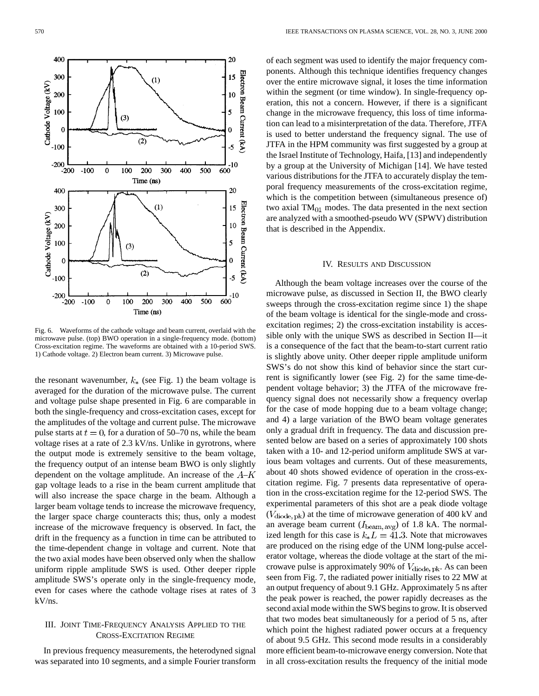

Fig. 6. Waveforms of the cathode voltage and beam current, overlaid with the microwave pulse. (top) BWO operation in a single-frequency mode. (bottom) Cross-excitation regime. The waveforms are obtained with a 10-period SWS. 1) Cathode voltage. 2) Electron beam current. 3) Microwave pulse.

the resonant wavenumber,  $k_{*}$  (see Fig. 1) the beam voltage is averaged for the duration of the microwave pulse. The current and voltage pulse shape presented in Fig. 6 are comparable in both the single-frequency and cross-excitation cases, except for the amplitudes of the voltage and current pulse. The microwave pulse starts at  $t = 0$ , for a duration of 50–70 ns, while the beam voltage rises at a rate of 2.3 kV/ns. Unlike in gyrotrons, where the output mode is extremely sensitive to the beam voltage, the frequency output of an intense beam BWO is only slightly dependent on the voltage amplitude. An increase of the  $A-K$ gap voltage leads to a rise in the beam current amplitude that will also increase the space charge in the beam. Although a larger beam voltage tends to increase the microwave frequency, the larger space charge counteracts this; thus, only a modest increase of the microwave frequency is observed. In fact, the drift in the frequency as a function in time can be attributed to the time-dependent change in voltage and current. Note that the two axial modes have been observed only when the shallow uniform ripple amplitude SWS is used. Other deeper ripple amplitude SWS's operate only in the single-frequency mode, even for cases where the cathode voltage rises at rates of 3 kV/ns.

# III. JOINT TIME-FREQUENCY ANALYSIS APPLIED TO THE CROSS-EXCITATION REGIME

In previous frequency measurements, the heterodyned signal was separated into 10 segments, and a simple Fourier transform of each segment was used to identify the major frequency components. Although this technique identifies frequency changes over the entire microwave signal, it loses the time information within the segment (or time window). In single-frequency operation, this not a concern. However, if there is a significant change in the microwave frequency, this loss of time information can lead to a misinterpretation of the data. Therefore, JTFA is used to better understand the frequency signal. The use of JTFA in the HPM community was first suggested by a group at the Israel Institute of Technology, Haifa, [13] and independently by a group at the University of Michigan [14]. We have tested various distributions for the JTFA to accurately display the temporal frequency measurements of the cross-excitation regime, which is the competition between (simultaneous presence of) two axial  $TM_{01}$  modes. The data presented in the next section are analyzed with a smoothed-pseudo WV (SPWV) distribution that is described in the Appendix.

### IV. RESULTS AND DISCUSSION

Although the beam voltage increases over the course of the microwave pulse, as discussed in Section II, the BWO clearly sweeps through the cross-excitation regime since 1) the shape of the beam voltage is identical for the single-mode and crossexcitation regimes; 2) the cross-excitation instability is accessible only with the unique SWS as described in Section II—it is a consequence of the fact that the beam-to-start current ratio is slightly above unity. Other deeper ripple amplitude uniform SWS's do not show this kind of behavior since the start current is significantly lower (see Fig. 2) for the same time-dependent voltage behavior; 3) the JTFA of the microwave frequency signal does not necessarily show a frequency overlap for the case of mode hopping due to a beam voltage change; and 4) a large variation of the BWO beam voltage generates only a gradual drift in frequency. The data and discussion presented below are based on a series of approximately 100 shots taken with a 10- and 12-period uniform amplitude SWS at various beam voltages and currents. Out of these measurements, about 40 shots showed evidence of operation in the cross-excitation regime. Fig. 7 presents data representative of operation in the cross-excitation regime for the 12-period SWS. The experimental parameters of this shot are a peak diode voltage  $(V_{\rm diode, \, pk})$  at the time of microwave generation of 400 kV and an average beam current  $(I_{\text{beam, avg}})$  of 1.8 kA. The normalized length for this case is  $k_*L = 41.3$ . Note that microwaves are produced on the rising edge of the UNM long-pulse accelerator voltage, whereas the diode voltage at the start of the microwave pulse is approximately 90% of  $V_{\text{diode, pk}}$ . As can been seen from Fig. 7, the radiated power initially rises to 22 MW at an output frequency of about 9.1 GHz. Approximately 5 ns after the peak power is reached, the power rapidly decreases as the second axial mode within the SWS begins to grow. It is observed that two modes beat simultaneously for a period of 5 ns, after which point the highest radiated power occurs at a frequency of about 9.5 GHz. This second mode results in a considerably more efficient beam-to-microwave energy conversion. Note that in all cross-excitation results the frequency of the initial mode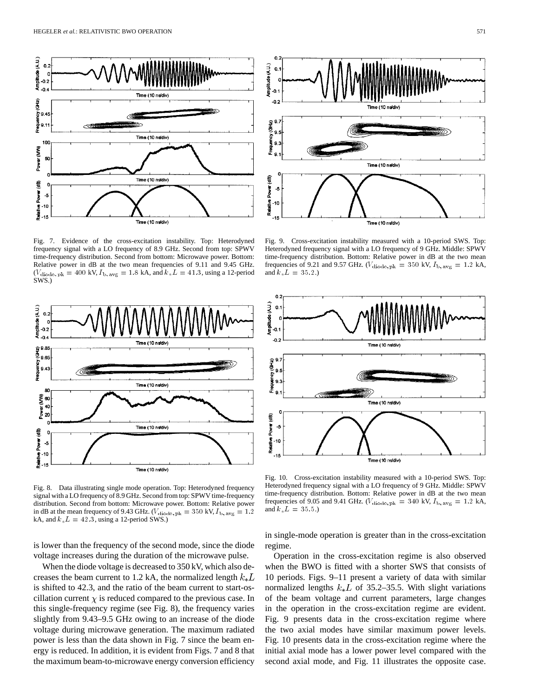

Fig. 7. Evidence of the cross-excitation instability. Top: Heterodyned frequency signal with a LO frequency of 8.9 GHz. Second from top: SPWV time-frequency distribution. Second from bottom: Microwave power. Bottom: Relative power in dB at the two mean frequencies of 9.11 and 9.45 GHz.  $(V_{\rm diode, pk} = 400 \text{ kV}, I_{\rm b, avg} = 1.8 \text{ kA}, \text{and } k_*L = 41.3, \text{using a 12-period}$ SWS.)



Fig. 8. Data illustrating single mode operation. Top: Heterodyned frequency signal with a LO frequency of 8.9 GHz. Second from top: SPWV time-frequency distribution. Second from bottom: Microwave power. Bottom: Relative power in dB at the mean frequency of 9.43 GHz. ( $V_{\rm diode, pk} = 350 \text{ kV}$ ,  $I_{\rm b, avg} = 1.2$ kA, and  $k_*L = 42.3$ , using a 12-period SWS.)

is lower than the frequency of the second mode, since the diode voltage increases during the duration of the microwave pulse.

When the diode voltage is decreased to 350 kV, which also decreases the beam current to 1.2 kA, the normalized length  $k_*L$ is shifted to 42.3, and the ratio of the beam current to start-oscillation current  $\chi$  is reduced compared to the previous case. In this single-frequency regime (see Fig. 8), the frequency varies slightly from 9.43–9.5 GHz owing to an increase of the diode voltage during microwave generation. The maximum radiated power is less than the data shown in Fig. 7 since the beam energy is reduced. In addition, it is evident from Figs. 7 and 8 that the maximum beam-to-microwave energy conversion efficiency



Fig. 9. Cross-excitation instability measured with a 10-period SWS. Top: Heterodyned frequency signal with a LO frequency of 9 GHz. Middle: SPWV time-frequency distribution. Bottom: Relative power in dB at the two mean frequencies of 9.21 and 9.57 GHz. ( $V_{\rm diode, \, pk} = 350$  kV,  $I_{\rm b, \, avg} = 1.2$  kA, and  $k_* L = 35.2.$ 



Fig. 10. Cross-excitation instability measured with a 10-period SWS. Top: Heterodyned frequency signal with a LO frequency of 9 GHz. Middle: SPWV time-frequency distribution. Bottom: Relative power in dB at the two mean frequencies of 9.05 and 9.41 GHz. ( $V_{\rm diode, \, pk}$  = 340 kV,  $I_{\rm b, \, avg}$  = 1.2 kA, and  $k_* L = 35.5.$ )

in single-mode operation is greater than in the cross-excitation regime.

Operation in the cross-excitation regime is also observed when the BWO is fitted with a shorter SWS that consists of 10 periods. Figs. 9–11 present a variety of data with similar normalized lengths  $k_*L$  of 35.2–35.5. With slight variations of the beam voltage and current parameters, large changes in the operation in the cross-excitation regime are evident. Fig. 9 presents data in the cross-excitation regime where the two axial modes have similar maximum power levels. Fig. 10 presents data in the cross-excitation regime where the initial axial mode has a lower power level compared with the second axial mode, and Fig. 11 illustrates the opposite case.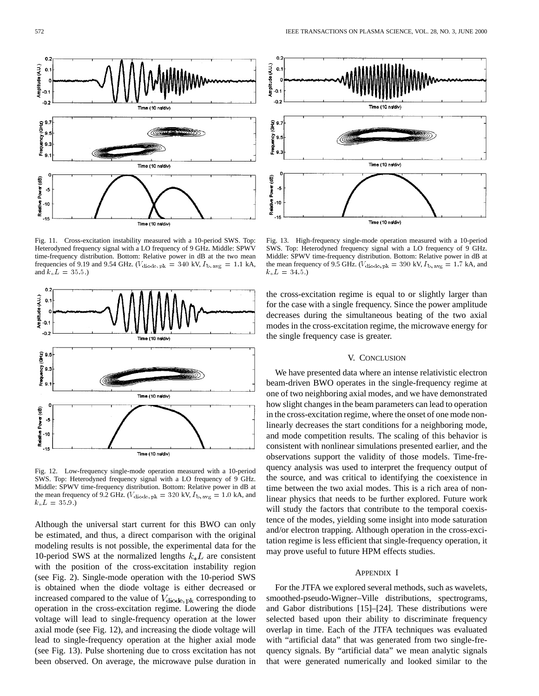

Fig. 11. Cross-excitation instability measured with a 10-period SWS. Top: Heterodyned frequency signal with a LO frequency of 9 GHz. Middle: SPWV time-frequency distribution. Bottom: Relative power in dB at the two mean frequencies of 9.19 and 9.54 GHz. ( $V_{\rm diode, \, pk}$  = 340 kV,  $I_{\rm b, \, avg}$  = 1.1 kA, and  $k_* L = 35.5.$ )



Fig. 12. Low-frequency single-mode operation measured with a 10-period SWS. Top: Heterodyned frequency signal with a LO frequency of 9 GHz. Middle: SPWV time-frequency distribution. Bottom: Relative power in dB at the mean frequency of 9.2 GHz. ( $V_{\rm diode, \, pk} = 320$  kV,  $I_{\rm b, \, avg} = 1.0$  kA, and  $k_* L = 35.9.$ 

Although the universal start current for this BWO can only be estimated, and thus, a direct comparison with the original modeling results is not possible, the experimental data for the 10-period SWS at the normalized lengths  $k_*L$  are consistent with the position of the cross-excitation instability region (see Fig. 2). Single-mode operation with the 10-period SWS is obtained when the diode voltage is either decreased or increased compared to the value of  $V_{\text{diode, pk}}$  corresponding to operation in the cross-excitation regime. Lowering the diode voltage will lead to single-frequency operation at the lower axial mode (see Fig. 12), and increasing the diode voltage will lead to single-frequency operation at the higher axial mode (see Fig. 13). Pulse shortening due to cross excitation has not been observed. On average, the microwave pulse duration in



Fig. 13. High-frequency single-mode operation measured with a 10-period SWS. Top: Heterodyned frequency signal with a LO frequency of 9 GHz. Middle: SPWV time-frequency distribution. Bottom: Relative power in dB at the mean frequency of 9.5 GHz. ( $V_{\rm diode, \, pk} = 390$  kV,  $I_{\rm b, \, avg} = 1.7$  kA, and  $k_* L = 34.5.$ 

the cross-excitation regime is equal to or slightly larger than for the case with a single frequency. Since the power amplitude decreases during the simultaneous beating of the two axial modes in the cross-excitation regime, the microwave energy for the single frequency case is greater.

## V. CONCLUSION

We have presented data where an intense relativistic electron beam-driven BWO operates in the single-frequency regime at one of two neighboring axial modes, and we have demonstrated how slight changes in the beam parameters can lead to operation in the cross-excitation regime, where the onset of one mode nonlinearly decreases the start conditions for a neighboring mode, and mode competition results. The scaling of this behavior is consistent with nonlinear simulations presented earlier, and the observations support the validity of those models. Time-frequency analysis was used to interpret the frequency output of the source, and was critical to identifying the coexistence in time between the two axial modes. This is a rich area of nonlinear physics that needs to be further explored. Future work will study the factors that contribute to the temporal coexistence of the modes, yielding some insight into mode saturation and/or electron trapping. Although operation in the cross-excitation regime is less efficient that single-frequency operation, it may prove useful to future HPM effects studies.

#### APPENDIX I

For the JTFA we explored several methods, such as wavelets, smoothed-pseudo-Wigner–Ville distributions, spectrograms, and Gabor distributions [15]–[24]. These distributions were selected based upon their ability to discriminate frequency overlap in time. Each of the JTFA techniques was evaluated with "artificial data" that was generated from two single-frequency signals. By "artificial data" we mean analytic signals that were generated numerically and looked similar to the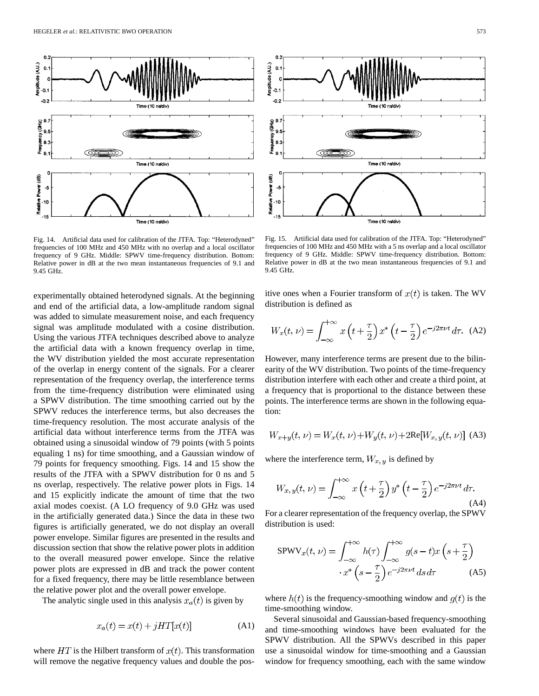

Fig. 14. Artificial data used for calibration of the JTFA. Top: "Heterodyned" frequencies of 100 MHz and 450 MHz with no overlap and a local oscillator frequency of 9 GHz. Middle: SPWV time-frequency distribution. Bottom: Relative power in dB at the two mean instantaneous frequencies of 9.1 and 9.45 GHz.

experimentally obtained heterodyned signals. At the beginning and end of the artificial data, a low-amplitude random signal was added to simulate measurement noise, and each frequency signal was amplitude modulated with a cosine distribution. Using the various JTFA techniques described above to analyze the artificial data with a known frequency overlap in time, the WV distribution yielded the most accurate representation of the overlap in energy content of the signals. For a clearer representation of the frequency overlap, the interference terms from the time-frequency distribution were eliminated using a SPWV distribution. The time smoothing carried out by the SPWV reduces the interference terms, but also decreases the time-frequency resolution. The most accurate analysis of the artificial data without interference terms from the JTFA was obtained using a sinusoidal window of 79 points (with 5 points equaling 1 ns) for time smoothing, and a Gaussian window of 79 points for frequency smoothing. Figs. 14 and 15 show the results of the JTFA with a SPWV distribution for 0 ns and 5 ns overlap, respectively. The relative power plots in Figs. 14 and 15 explicitly indicate the amount of time that the two axial modes coexist. (A LO frequency of 9.0 GHz was used in the artificially generated data.) Since the data in these two figures is artificially generated, we do not display an overall power envelope. Similar figures are presented in the results and discussion section that show the relative power plots in addition to the overall measured power envelope. Since the relative power plots are expressed in dB and track the power content for a fixed frequency, there may be little resemblance between the relative power plot and the overall power envelope.

The analytic single used in this analysis  $x_a(t)$  is given by

$$
x_a(t) = x(t) + jHT[x(t)]
$$
 (A1)

where  $HT$  is the Hilbert transform of  $x(t)$ . This transformation will remove the negative frequency values and double the pos-



Fig. 15. Artificial data used for calibration of the JTFA. Top: "Heterodyned" frequencies of 100 MHz and 450 MHz with a 5 ns overlap and a local oscillator frequency of 9 GHz. Middle: SPWV time-frequency distribution. Bottom: Relative power in dB at the two mean instantaneous frequencies of 9.1 and 9.45 GHz.

itive ones when a Fourier transform of  $x(t)$  is taken. The WV distribution is defined as

$$
W_x(t,\nu) = \int_{-\infty}^{+\infty} x\left(t + \frac{\tau}{2}\right) x^* \left(t - \frac{\tau}{2}\right) e^{-j2\pi\nu t} d\tau. \tag{A2}
$$

However, many interference terms are present due to the bilinearity of the WV distribution. Two points of the time-frequency distribution interfere with each other and create a third point, at a frequency that is proportional to the distance between these points. The interference terms are shown in the following equation:

$$
W_{x+y}(t, \nu) = W_x(t, \nu) + W_y(t, \nu) + 2\text{Re}[W_{x,y}(t, \nu)]
$$
 (A3)

where the interference term,  $W_{x,y}$  is defined by

$$
W_{x,y}(t,\nu) = \int_{-\infty}^{+\infty} x\left(t + \frac{\tau}{2}\right) y^* \left(t - \frac{\tau}{2}\right) e^{-j2\pi\nu t} d\tau.
$$
\n(A4)

For a clearer representation of the frequency overlap, the SPWV distribution is used:

SPWV<sub>x</sub>(t, 
$$
\nu
$$
) =  $\int_{-\infty}^{+\infty} h(\tau) \int_{-\infty}^{+\infty} g(s-t)x \left(s + \frac{\tau}{2}\right)$   
 $\cdot x^* \left(s - \frac{\tau}{2}\right) e^{-j2\pi \nu t} ds d\tau$  (A5)

where  $h(t)$  is the frequency-smoothing window and  $g(t)$  is the time-smoothing window.

Several sinusoidal and Gaussian-based frequency-smoothing and time-smoothing windows have been evaluated for the SPWV distribution. All the SPWVs described in this paper use a sinusoidal window for time-smoothing and a Gaussian window for frequency smoothing, each with the same window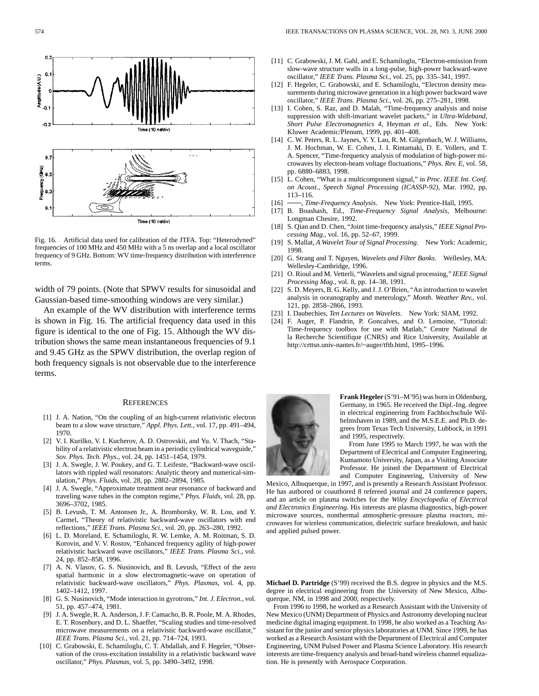

Fig. 16. Artificial data used for calibration of the JTFA. Top: "Heterodyned" frequencies of 100 MHz and 450 MHz with a 5 ns overlap and a local oscillator frequency of 9 GHz. Bottom: WV time-frequency distribution with interference terms.

Time (10 ns/div)

width of 79 points. (Note that SPWV results for sinusoidal and Gaussian-based time-smoothing windows are very similar.)

An example of the WV distribution with interference terms is shown in Fig. 16. The artificial frequency data used in this figure is identical to the one of Fig. 15. Although the WV distribution shows the same mean instantaneous frequencies of 9.1 and 9.45 GHz as the SPWV distribution, the overlap region of both frequency signals is not observable due to the interference terms.

#### **REFERENCES**

- [1] J. A. Nation, "On the coupling of an high-current relativistic electron beam to a slow wave structure," *Appl. Phys. Lett.*, vol. 17, pp. 491–494, 1970.
- [2] V. I. Kurilko, V. I. Kucherov, A. D. Ostrovskii, and Yu. V. Thach, "Stability of a relativistic electron beam in a periodic cylindrical waveguide," *Sov. Phys. Tech. Phys.*, vol. 24, pp. 1451–1454, 1979.
- [3] J. A. Swegle, J. W. Poukey, and G. T. Leifeste, "Backward-wave oscillators with rippled wall resonators: Analytic theory and numerical-simulation," *Phys. Fluids*, vol. 28, pp. 2882–2894, 1985.
- [4] J. A. Swegle, "Approximate treatment near resonance of backward and traveling wave tubes in the compton regime," *Phys. Fluids*, vol. 28, pp. 3696–3702, 1985.
- [5] B. Levush, T. M. Antonsen Jr., A. Bromborsky, W. R. Lou, and Y. Carmel, "Theory of relativistic backward-wave oscillators with end reflections," *IEEE Trans. Plasma Sci.*, vol. 20, pp. 263–280, 1992.
- [6] L. D. Moreland, E. Schamiloglu, R. W. Lemke, A. M. Roitman, S. D. Korovin, and V. V. Rostov, "Enhanced frequency agility of high-power relativistic backward wave oscillators," *IEEE Trans. Plasma Sci.*, vol. 24, pp. 852–858, 1996.
- [7] A. N. Vlasov, G. S. Nusinovich, and B. Levush, "Effect of the zero spatial harmonic in a slow electromagnetic-wave on operation of relativistic backward-wave oscillators," *Phys. Plasmas*, vol. 4, pp. 1402–1412, 1997.
- [8] G. S. Nusinovich, "Mode interaction in gyrotrons," *Int. J. Electron.*, vol. 51, pp. 457–474, 1981.
- [9] J. A. Swegle, R. A. Anderson, J. F. Camacho, B. R. Poole, M. A. Rhodes, E. T. Rosenbury, and D. L. Shaeffer, "Scaling studies and time-resolved microwave measurements on a relativistic backward-wave oscillator," *IEEE Trans. Plasma Sci.*, vol. 21, pp. 714–724, 1993.
- [10] C. Grabowski, E. Schamiloglu, C. T. Abdallah, and F. Hegeler, "Observation of the cross-excitation instability in a relativistic backward wave oscillator," *Phys. Plasmas*, vol. 5, pp. 3490–3492, 1998.
- [11] C. Grabowski, J. M. Gahl, and E. Schamiloglu, "Electron-emission from slow-wave structure walls in a long-pulse, high-power backward-wave oscillator," *IEEE Trans. Plasma Sci.*, vol. 25, pp. 335–341, 1997.
- [12] F. Hegeler, C. Grabowski, and E. Schamiloglu, "Electron density measurements during microwave generation in a high power backward wave oscillator," *IEEE Trans. Plasma Sci.*, vol. 26, pp. 275–281, 1998.
- [13] I. Cohen, S. Raz, and D. Malah, "Time-frequency analysis and noise suppression with shift-invariant wavelet packets," in *Ultra-Wideband, Short Pulse Electromagnetics 4*, Heyman *et al.*, Eds. New York: Kluwer Academic/Plenum, 1999, pp. 401–408.
- [14] C. W. Peters, R. L. Jaynes, Y. Y. Lau, R. M. Gilgenbach, W. J. Williams, J. M. Hochman, W. E. Cohen, J. I. Rintamaki, D. E. Vollers, and T. A. Spencer, "Time-frequency analysis of modulation of high-power microwaves by electron-beam voltage fluctuations," *Phys. Rev. E*, vol. 58, pp. 6880–6883, 1998.
- [15] L. Cohen, "What is a multicomponent signal," in *Proc. IEEE Int. Conf. on Acoust., Speech Signal Processing (ICASSP-92)*, Mar. 1992, pp. 113–116.
- [16] , *Time-Frequency Analysis*. New York: Prentice-Hall, 1995.
- [17] B. Boashash, Ed., *Time-Frequency Signal Analysis*, Melbourne: Longman Chesire, 1992.
- [18] S. Qian and D. Chen, "Joint time-frequency analysis," *IEEE Signal Processing Mag.*, vol. 16, pp. 52–67, 1999.
- [19] S. Mallat, *A Wavelet Tour of Signal Processing*. New York: Academic, 1998.
- [20] G. Strang and T. Nguyen, *Wavelets and Filter Banks*. Wellesley, MA: Wellesley-Cambridge, 1996.
- [21] O. Rioul and M. Vetterli, "Wavelets and signal processing," *IEEE Signal Processing Mag.*, vol. 8, pp. 14–38, 1991.
- [22] S. D. Meyers, B. G. Kelly, and J. J. O'Brien, "An introduction to wavelet analysis in oceanography and meterology," *Month. Weather Rev.*, vol. 121, pp. 2858–2866, 1993.
- [23] I. Daubechies, *Ten Lectures on Wavelets*. New York: SIAM, 1992.
- [24] F. Auger, P. Flandrin, P. Goncalves, and O. Lemoine, "Tutorial: Time-frequency toolbox for use with Matlab," Centre National de la Recherche Scientifique (CNRS) and Rice University, Available at http://crttsn.univ-nantes.fr/~auger/tftb.html, 1995–1996.



**Frank Hegeler** (S'91–M'95) was born in Oldenburg, Germany, in 1965. He received the Dipl.-Ing. degree in electrical engineering from Fachhochschule Wilhelmshaven in 1989, and the M.S.E.E. and Ph.D. degrees from Texas Tech University, Lubbock, in 1991 and 1995, respectively.

From June 1995 to March 1997, he was with the Department of Electrical and Computer Engineering, Kumamoto University, Japan, as a Visiting Associate Professor. He joined the Department of Electrical and Computer Engineering, University of New

Mexico, Albuquerque, in 1997, and is presently a Research Assistant Professor. He has authored or coauthored 8 refereed journal and 24 conference papers, and an article on plasma switches for the *Wiley Encyclopedia of Electrical and Electronics Engineering.* His interests are plasma diagnostics, high-power microwave sources, nonthermal atmospheric-pressure plasma reactors, microwaves for wireless communication, dielectric surface breakdown, and basic and applied pulsed power.

**Michael D. Partridge** (S'99) received the B.S. degree in physics and the M.S. degree in electrical engineering from the University of New Mexico, Albuquerque, NM, in 1998 and 2000, respectively.

From 1996 to 1998, he worked as a Research Assistant with the University of New Mexico (UNM) Department of Physics and Astronomy developing nuclear medicine digital imaging equipment. In 1998, he also worked as a Teaching Assistant for the junior and senior physics laboratories at UNM. Since 1999, he has worked as a Research Assistant with the Department of Electrical and Computer Engineering, UNM Pulsed Power and Plasma Science Laboratory. His research interests are time-frequency analysis and broad-band wireless channel equalization. He is presently with Aerospace Corporation.